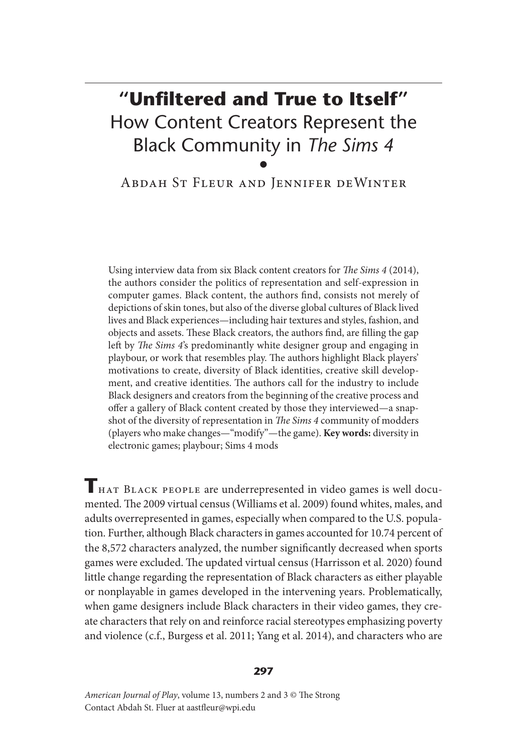# **"Unfiltered and True to Itself"**  How Content Creators Represent the Black Community in *The Sims 4* •

Abdah St Fleur and Jennifer deWinter

Using interview data from six Black content creators for *The Sims 4* (2014), the authors consider the politics of representation and self-expression in computer games. Black content, the authors find, consists not merely of depictions of skin tones, but also of the diverse global cultures of Black lived lives and Black experiences—including hair textures and styles, fashion, and objects and assets. These Black creators, the authors find, are filling the gap left by *The Sims 4*'s predominantly white designer group and engaging in playbour, or work that resembles play. The authors highlight Black players' motivations to create, diversity of Black identities, creative skill development, and creative identities. The authors call for the industry to include Black designers and creators from the beginning of the creative process and offer a gallery of Black content created by those they interviewed—a snapshot of the diversity of representation in *The Sims 4* community of modders (players who make changes—"modify"—the game). **Key words:** diversity in electronic games; playbour; Sims 4 mods

**T**hat Black people are underrepresented in video games is well documented. The 2009 virtual census (Williams et al. 2009) found whites, males, and adults overrepresented in games, especially when compared to the U.S. population. Further, although Black characters in games accounted for 10.74 percent of the 8,572 characters analyzed, the number significantly decreased when sports games were excluded. The updated virtual census (Harrisson et al. 2020) found little change regarding the representation of Black characters as either playable or nonplayable in games developed in the intervening years. Problematically, when game designers include Black characters in their video games, they create characters that rely on and reinforce racial stereotypes emphasizing poverty and violence (c.f., Burgess et al. 2011; Yang et al. 2014), and characters who are

#### **297**

*American Journal of Play*, volume 13, numbers 2 and 3 © The Strong Contact Abdah St. Fluer at aastfleur@wpi.edu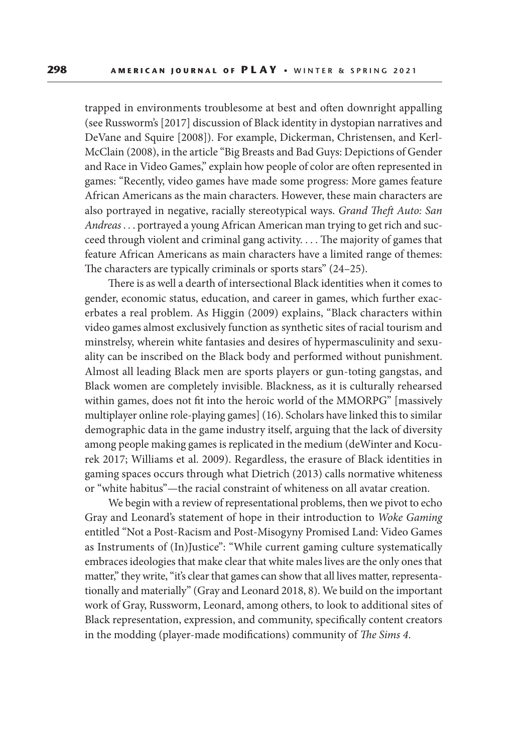trapped in environments troublesome at best and often downright appalling (see Russworm's [2017] discussion of Black identity in dystopian narratives and DeVane and Squire [2008]). For example, Dickerman, Christensen, and Kerl-McClain (2008), in the article "Big Breasts and Bad Guys: Depictions of Gender and Race in Video Games," explain how people of color are often represented in games: "Recently, video games have made some progress: More games feature African Americans as the main characters. However, these main characters are also portrayed in negative, racially stereotypical ways. *Grand Theft Auto: San Andreas* . . . portrayed a young African American man trying to get rich and succeed through violent and criminal gang activity. . . . The majority of games that feature African Americans as main characters have a limited range of themes: The characters are typically criminals or sports stars" (24–25).

There is as well a dearth of intersectional Black identities when it comes to gender, economic status, education, and career in games, which further exacerbates a real problem. As Higgin (2009) explains, "Black characters within video games almost exclusively function as synthetic sites of racial tourism and minstrelsy, wherein white fantasies and desires of hypermasculinity and sexuality can be inscribed on the Black body and performed without punishment. Almost all leading Black men are sports players or gun-toting gangstas, and Black women are completely invisible. Blackness, as it is culturally rehearsed within games, does not fit into the heroic world of the MMORPG" [massively multiplayer online role-playing games] (16). Scholars have linked this to similar demographic data in the game industry itself, arguing that the lack of diversity among people making games is replicated in the medium (deWinter and Kocurek 2017; Williams et al. 2009). Regardless, the erasure of Black identities in gaming spaces occurs through what Dietrich (2013) calls normative whiteness or "white habitus"—the racial constraint of whiteness on all avatar creation.

We begin with a review of representational problems, then we pivot to echo Gray and Leonard's statement of hope in their introduction to *Woke Gaming* entitled "Not a Post-Racism and Post-Misogyny Promised Land: Video Games as Instruments of (In)Justice": "While current gaming culture systematically embraces ideologies that make clear that white males lives are the only ones that matter," they write, "it's clear that games can show that all lives matter, representationally and materially" (Gray and Leonard 2018, 8). We build on the important work of Gray, Russworm, Leonard, among others, to look to additional sites of Black representation, expression, and community, specifically content creators in the modding (player-made modifications) community of *The Sims 4*.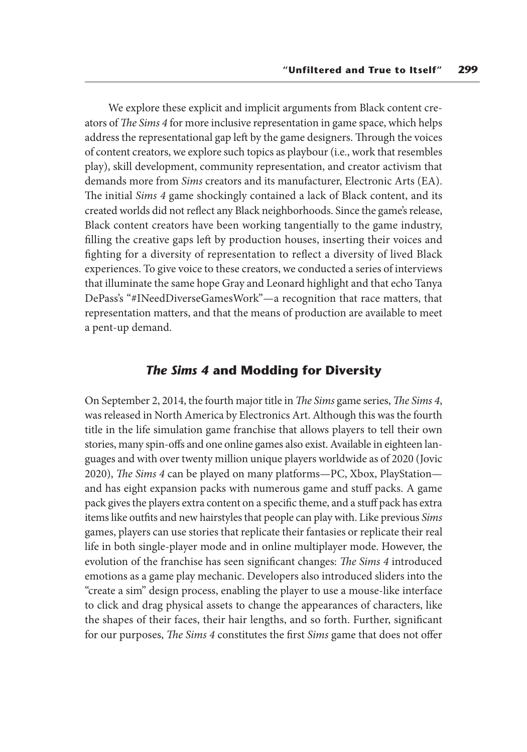We explore these explicit and implicit arguments from Black content creators of *The Sims 4* for more inclusive representation in game space, which helps address the representational gap left by the game designers. Through the voices of content creators, we explore such topics as playbour (i.e., work that resembles play), skill development, community representation, and creator activism that demands more from *Sims* creators and its manufacturer, Electronic Arts (EA). The initial *Sims 4* game shockingly contained a lack of Black content, and its created worlds did not reflect any Black neighborhoods. Since the game's release, Black content creators have been working tangentially to the game industry, filling the creative gaps left by production houses, inserting their voices and fighting for a diversity of representation to reflect a diversity of lived Black experiences. To give voice to these creators, we conducted a series of interviews that illuminate the same hope Gray and Leonard highlight and that echo Tanya DePass's "#INeedDiverseGamesWork"—a recognition that race matters, that representation matters, and that the means of production are available to meet a pent-up demand.

#### *The Sims 4* **and Modding for Diversity**

On September 2, 2014, the fourth major title in *The Sims* game series, *The Sims 4*, was released in North America by Electronics Art. Although this was the fourth title in the life simulation game franchise that allows players to tell their own stories, many spin-offs and one online games also exist. Available in eighteen languages and with over twenty million unique players worldwide as of 2020 (Jovic 2020), *The Sims 4* can be played on many platforms—PC, Xbox, PlayStation and has eight expansion packs with numerous game and stuff packs. A game pack gives the players extra content on a specific theme, and a stuff pack has extra items like outfits and new hairstyles that people can play with. Like previous *Sims*  games, players can use stories that replicate their fantasies or replicate their real life in both single-player mode and in online multiplayer mode. However, the evolution of the franchise has seen significant changes: *The Sims 4* introduced emotions as a game play mechanic. Developers also introduced sliders into the "create a sim" design process, enabling the player to use a mouse-like interface to click and drag physical assets to change the appearances of characters, like the shapes of their faces, their hair lengths, and so forth. Further, significant for our purposes, *The Sims 4* constitutes the first *Sims* game that does not offer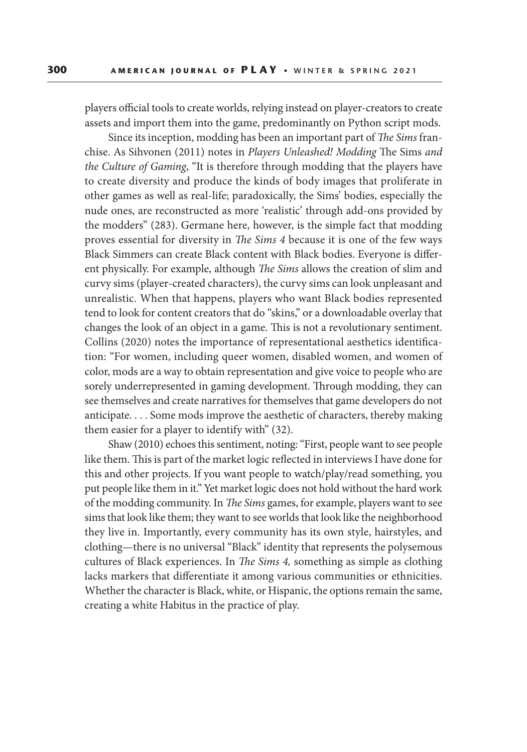players official tools to create worlds, relying instead on player-creators to create assets and import them into the game, predominantly on Python script mods.

Since its inception, modding has been an important part of *The Sims* franchise. As Sihvonen (2011) notes in *Players Unleashed! Modding* The Sims *and the Culture of Gaming*, "It is therefore through modding that the players have to create diversity and produce the kinds of body images that proliferate in other games as well as real-life; paradoxically, the Sims' bodies, especially the nude ones, are reconstructed as more 'realistic' through add-ons provided by the modders" (283). Germane here, however, is the simple fact that modding proves essential for diversity in *The Sims 4* because it is one of the few ways Black Simmers can create Black content with Black bodies. Everyone is different physically. For example, although *The Sims* allows the creation of slim and curvy sims (player-created characters), the curvy sims can look unpleasant and unrealistic. When that happens, players who want Black bodies represented tend to look for content creators that do "skins," or a downloadable overlay that changes the look of an object in a game. This is not a revolutionary sentiment. Collins (2020) notes the importance of representational aesthetics identification: "For women, including queer women, disabled women, and women of color, mods are a way to obtain representation and give voice to people who are sorely underrepresented in gaming development. Through modding, they can see themselves and create narratives for themselves that game developers do not anticipate. . . . Some mods improve the aesthetic of characters, thereby making them easier for a player to identify with" (32).

Shaw (2010) echoes this sentiment, noting: "First, people want to see people like them. This is part of the market logic reflected in interviews I have done for this and other projects. If you want people to watch/play/read something, you put people like them in it." Yet market logic does not hold without the hard work of the modding community. In *The Sims* games, for example, players want to see sims that look like them; they want to see worlds that look like the neighborhood they live in. Importantly, every community has its own style, hairstyles, and clothing—there is no universal "Black" identity that represents the polysemous cultures of Black experiences. In *The Sims 4,* something as simple as clothing lacks markers that differentiate it among various communities or ethnicities. Whether the character is Black, white, or Hispanic, the options remain the same, creating a white Habitus in the practice of play.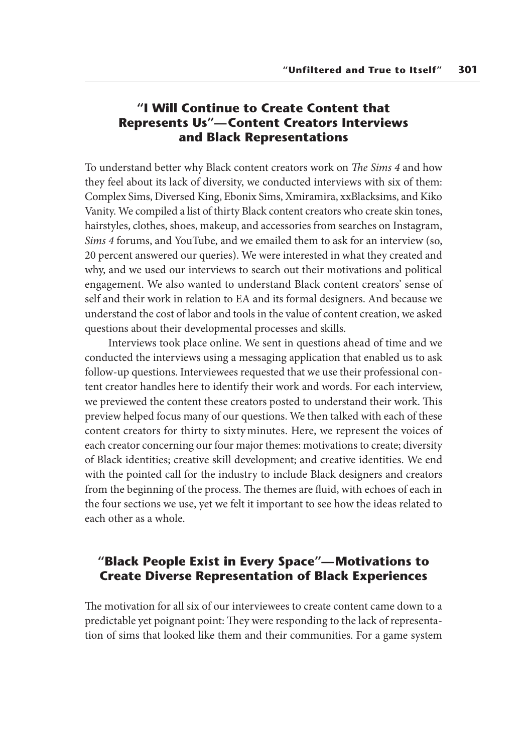## **"I Will Continue to Create Content that Represents Us"—Content Creators Interviews and Black Representations**

To understand better why Black content creators work on *The Sims 4* and how they feel about its lack of diversity, we conducted interviews with six of them: Complex Sims, Diversed King, Ebonix Sims, Xmiramira, xxBlacksims, and Kiko Vanity. We compiled a list of thirty Black content creators who create skin tones, hairstyles, clothes, shoes, makeup, and accessories from searches on Instagram, *Sims 4* forums, and YouTube, and we emailed them to ask for an interview (so, 20 percent answered our queries). We were interested in what they created and why, and we used our interviews to search out their motivations and political engagement. We also wanted to understand Black content creators' sense of self and their work in relation to EA and its formal designers. And because we understand the cost of labor and tools in the value of content creation, we asked questions about their developmental processes and skills.

Interviews took place online. We sent in questions ahead of time and we conducted the interviews using a messaging application that enabled us to ask follow-up questions. Interviewees requested that we use their professional content creator handles here to identify their work and words. For each interview, we previewed the content these creators posted to understand their work. This preview helped focus many of our questions. We then talked with each of these content creators for thirty to sixty minutes. Here, we represent the voices of each creator concerning our four major themes: motivations to create; diversity of Black identities; creative skill development; and creative identities. We end with the pointed call for the industry to include Black designers and creators from the beginning of the process. The themes are fluid, with echoes of each in the four sections we use, yet we felt it important to see how the ideas related to each other as a whole.

## **"Black People Exist in Every Space"—Motivations to Create Diverse Representation of Black Experiences**

The motivation for all six of our interviewees to create content came down to a predictable yet poignant point: They were responding to the lack of representation of sims that looked like them and their communities. For a game system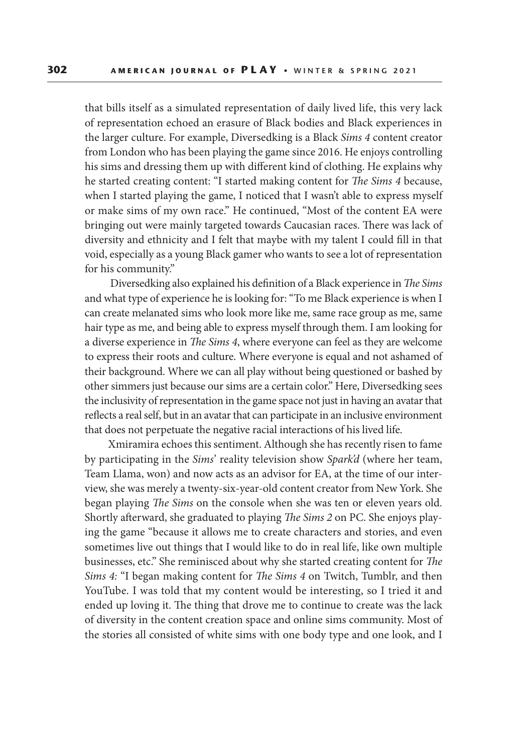that bills itself as a simulated representation of daily lived life, this very lack of representation echoed an erasure of Black bodies and Black experiences in the larger culture. For example, Diversedking is a Black *Sims 4* content creator from London who has been playing the game since 2016. He enjoys controlling his sims and dressing them up with different kind of clothing. He explains why he started creating content: "I started making content for *The Sims 4* because, when I started playing the game, I noticed that I wasn't able to express myself or make sims of my own race." He continued, "Most of the content EA were bringing out were mainly targeted towards Caucasian races. There was lack of diversity and ethnicity and I felt that maybe with my talent I could fill in that void, especially as a young Black gamer who wants to see a lot of representation for his community."

 Diversedking also explained his definition of a Black experience in *The Sims* and what type of experience he is looking for: "To me Black experience is when I can create melanated sims who look more like me, same race group as me, same hair type as me, and being able to express myself through them. I am looking for a diverse experience in *The Sims 4*, where everyone can feel as they are welcome to express their roots and culture. Where everyone is equal and not ashamed of their background. Where we can all play without being questioned or bashed by other simmers just because our sims are a certain color." Here, Diversedking sees the inclusivity of representation in the game space not just in having an avatar that reflects a real self, but in an avatar that can participate in an inclusive environment that does not perpetuate the negative racial interactions of his lived life.

Xmiramira echoes this sentiment. Although she has recently risen to fame by participating in the *Sims*' reality television show *Spark'd* (where her team, Team Llama, won) and now acts as an advisor for EA, at the time of our interview, she was merely a twenty-six-year-old content creator from New York. She began playing *The Sims* on the console when she was ten or eleven years old. Shortly afterward, she graduated to playing *The Sims 2* on PC. She enjoys playing the game "because it allows me to create characters and stories, and even sometimes live out things that I would like to do in real life, like own multiple businesses, etc." She reminisced about why she started creating content for *The Sims 4:* "I began making content for *The Sims 4* on Twitch, Tumblr, and then YouTube. I was told that my content would be interesting, so I tried it and ended up loving it. The thing that drove me to continue to create was the lack of diversity in the content creation space and online sims community. Most of the stories all consisted of white sims with one body type and one look, and I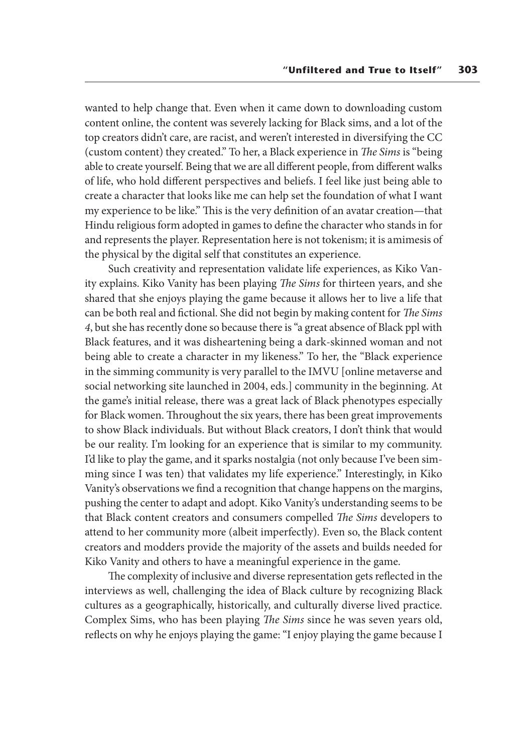wanted to help change that. Even when it came down to downloading custom content online, the content was severely lacking for Black sims, and a lot of the top creators didn't care, are racist, and weren't interested in diversifying the CC (custom content) they created." To her, a Black experience in *The Sims* is "being able to create yourself. Being that we are all different people, from different walks of life, who hold different perspectives and beliefs. I feel like just being able to create a character that looks like me can help set the foundation of what I want my experience to be like." This is the very definition of an avatar creation—that Hindu religious form adopted in games to define the character who stands in for and represents the player. Representation here is not tokenism; it is amimesis of the physical by the digital self that constitutes an experience.

Such creativity and representation validate life experiences, as Kiko Vanity explains. Kiko Vanity has been playing *The Sims* for thirteen years, and she shared that she enjoys playing the game because it allows her to live a life that can be both real and fictional. She did not begin by making content for *The Sims 4*, but she has recently done so because there is "a great absence of Black ppl with Black features, and it was disheartening being a dark-skinned woman and not being able to create a character in my likeness." To her, the "Black experience in the simming community is very parallel to the IMVU [online metaverse and social networking site launched in 2004, eds.] community in the beginning. At the game's initial release, there was a great lack of Black phenotypes especially for Black women. Throughout the six years, there has been great improvements to show Black individuals. But without Black creators, I don't think that would be our reality. I'm looking for an experience that is similar to my community. I'd like to play the game, and it sparks nostalgia (not only because I've been simming since I was ten) that validates my life experience." Interestingly, in Kiko Vanity's observations we find a recognition that change happens on the margins, pushing the center to adapt and adopt. Kiko Vanity's understanding seems to be that Black content creators and consumers compelled *The Sims* developers to attend to her community more (albeit imperfectly). Even so, the Black content creators and modders provide the majority of the assets and builds needed for Kiko Vanity and others to have a meaningful experience in the game.

The complexity of inclusive and diverse representation gets reflected in the interviews as well, challenging the idea of Black culture by recognizing Black cultures as a geographically, historically, and culturally diverse lived practice. Complex Sims, who has been playing *The Sims* since he was seven years old, reflects on why he enjoys playing the game: "I enjoy playing the game because I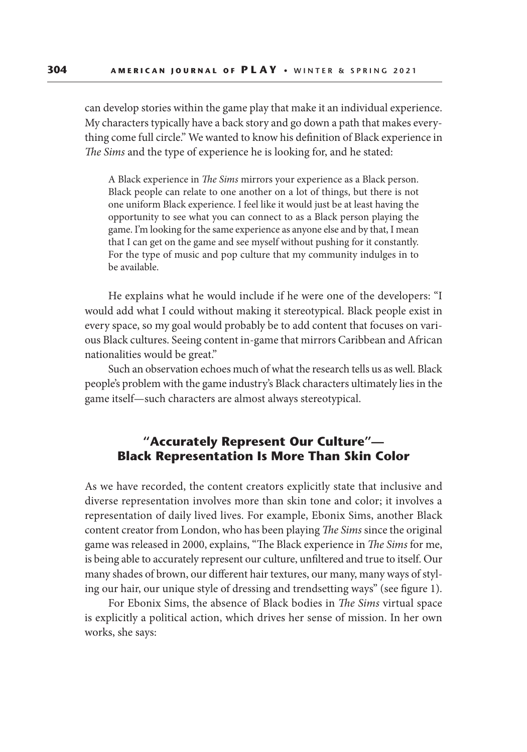can develop stories within the game play that make it an individual experience. My characters typically have a back story and go down a path that makes everything come full circle." We wanted to know his definition of Black experience in *The Sims* and the type of experience he is looking for, and he stated:

A Black experience in *The Sims* mirrors your experience as a Black person. Black people can relate to one another on a lot of things, but there is not one uniform Black experience. I feel like it would just be at least having the opportunity to see what you can connect to as a Black person playing the game. I'm looking for the same experience as anyone else and by that, I mean that I can get on the game and see myself without pushing for it constantly. For the type of music and pop culture that my community indulges in to be available.

He explains what he would include if he were one of the developers: "I would add what I could without making it stereotypical. Black people exist in every space, so my goal would probably be to add content that focuses on various Black cultures. Seeing content in-game that mirrors Caribbean and African nationalities would be great."

Such an observation echoes much of what the research tells us as well. Black people's problem with the game industry's Black characters ultimately lies in the game itself—such characters are almost always stereotypical.

#### **"Accurately Represent Our Culture"— Black Representation Is More Than Skin Color**

As we have recorded, the content creators explicitly state that inclusive and diverse representation involves more than skin tone and color; it involves a representation of daily lived lives. For example, Ebonix Sims, another Black content creator from London, who has been playing *The Sims* since the original game was released in 2000, explains, "The Black experience in *The Sims* for me, is being able to accurately represent our culture, unfiltered and true to itself. Our many shades of brown, our different hair textures, our many, many ways of styling our hair, our unique style of dressing and trendsetting ways" (see figure 1).

For Ebonix Sims, the absence of Black bodies in *The Sims* virtual space is explicitly a political action, which drives her sense of mission. In her own works, she says: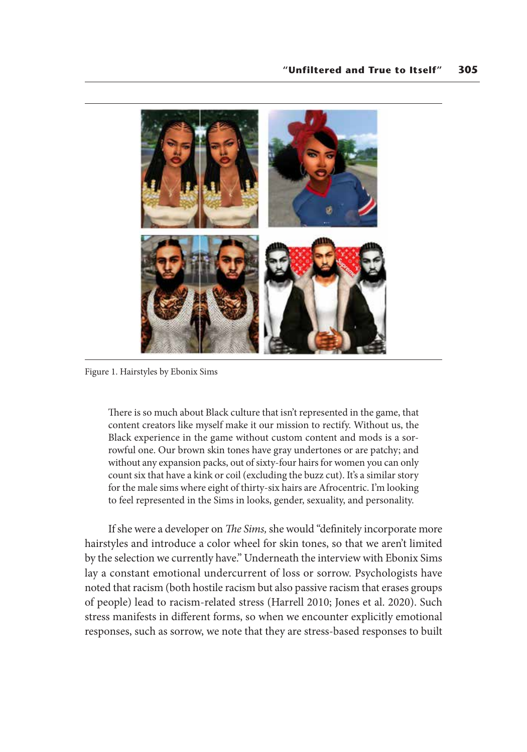

Figure 1. Hairstyles by Ebonix Sims

There is so much about Black culture that isn't represented in the game, that content creators like myself make it our mission to rectify. Without us, the Black experience in the game without custom content and mods is a sorrowful one. Our brown skin tones have gray undertones or are patchy; and without any expansion packs, out of sixty-four hairs for women you can only count six that have a kink or coil (excluding the buzz cut). It's a similar story for the male sims where eight of thirty-six hairs are Afrocentric. I'm looking to feel represented in the Sims in looks, gender, sexuality, and personality.

If she were a developer on *The Sims,* she would "definitely incorporate more hairstyles and introduce a color wheel for skin tones, so that we aren't limited by the selection we currently have." Underneath the interview with Ebonix Sims lay a constant emotional undercurrent of loss or sorrow. Psychologists have noted that racism (both hostile racism but also passive racism that erases groups of people) lead to racism-related stress (Harrell 2010; Jones et al. 2020). Such stress manifests in different forms, so when we encounter explicitly emotional responses, such as sorrow, we note that they are stress-based responses to built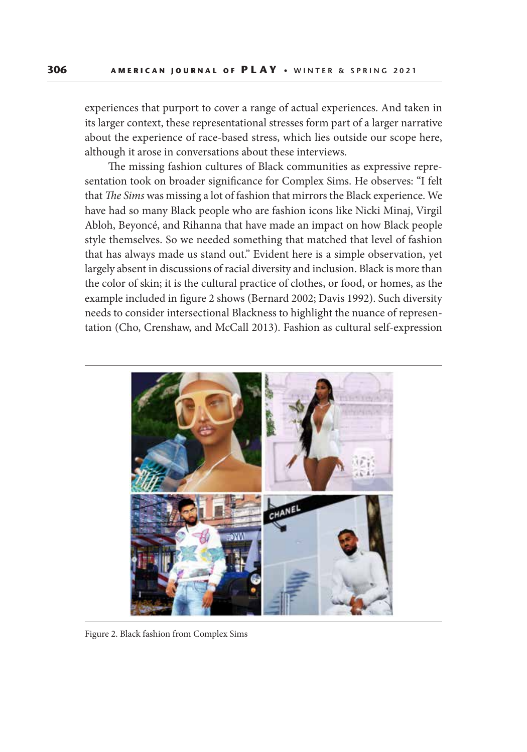experiences that purport to cover a range of actual experiences. And taken in its larger context, these representational stresses form part of a larger narrative about the experience of race-based stress, which lies outside our scope here, although it arose in conversations about these interviews.

The missing fashion cultures of Black communities as expressive representation took on broader significance for Complex Sims. He observes: "I felt that *The Sims* was missing a lot of fashion that mirrors the Black experience. We have had so many Black people who are fashion icons like Nicki Minaj, Virgil Abloh, Beyoncé, and Rihanna that have made an impact on how Black people style themselves. So we needed something that matched that level of fashion that has always made us stand out." Evident here is a simple observation, yet largely absent in discussions of racial diversity and inclusion. Black is more than the color of skin; it is the cultural practice of clothes, or food, or homes, as the example included in figure 2 shows (Bernard 2002; Davis 1992). Such diversity needs to consider intersectional Blackness to highlight the nuance of representation (Cho, Crenshaw, and McCall 2013). Fashion as cultural self-expression



Figure 2. Black fashion from Complex Sims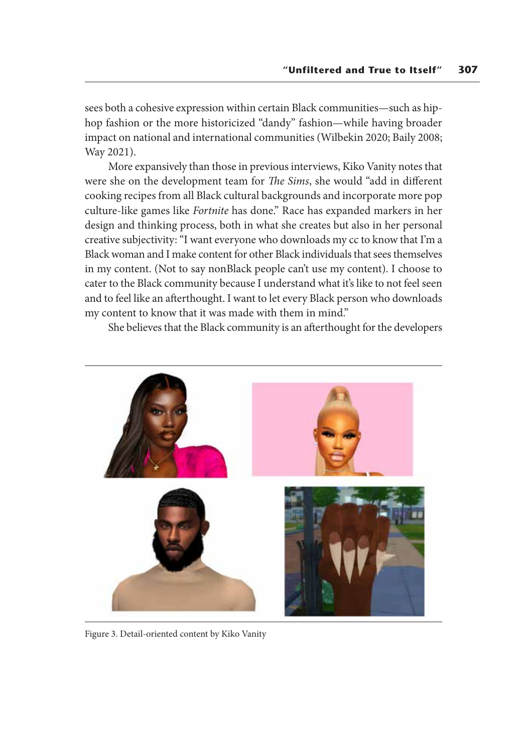sees both a cohesive expression within certain Black communities—such as hiphop fashion or the more historicized "dandy" fashion—while having broader impact on national and international communities (Wilbekin 2020; Baily 2008; Way 2021).

More expansively than those in previous interviews, Kiko Vanity notes that were she on the development team for *The Sims*, she would "add in different cooking recipes from all Black cultural backgrounds and incorporate more pop culture-like games like *Fortnite* has done." Race has expanded markers in her design and thinking process, both in what she creates but also in her personal creative subjectivity: "I want everyone who downloads my cc to know that I'm a Black woman and I make content for other Black individuals that sees themselves in my content. (Not to say nonBlack people can't use my content). I choose to cater to the Black community because I understand what it's like to not feel seen and to feel like an afterthought. I want to let every Black person who downloads my content to know that it was made with them in mind."

She believes that the Black community is an afterthought for the developers



Figure 3. Detail-oriented content by Kiko Vanity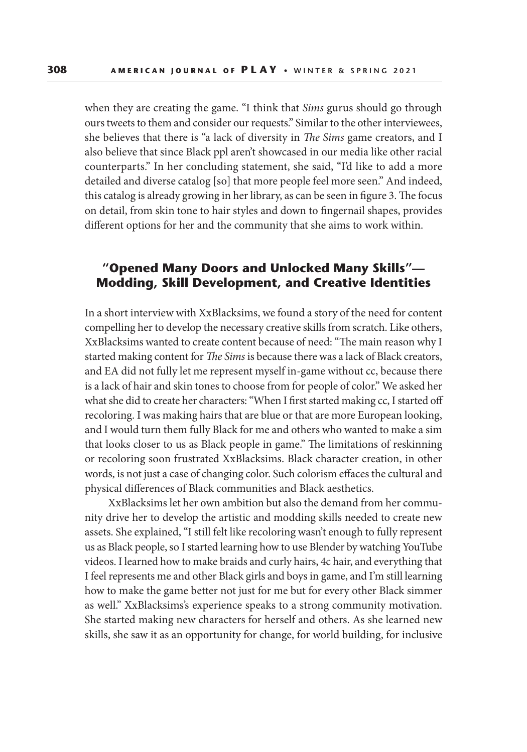when they are creating the game. "I think that *Sims* gurus should go through ours tweets to them and consider our requests." Similar to the other interviewees, she believes that there is "a lack of diversity in *The Sims* game creators, and I also believe that since Black ppl aren't showcased in our media like other racial counterparts." In her concluding statement, she said, "I'd like to add a more detailed and diverse catalog [so] that more people feel more seen." And indeed, this catalog is already growing in her library, as can be seen in figure 3. The focus on detail, from skin tone to hair styles and down to fingernail shapes, provides different options for her and the community that she aims to work within.

#### **"Opened Many Doors and Unlocked Many Skills"— Modding, Skill Development, and Creative Identities**

In a short interview with XxBlacksims, we found a story of the need for content compelling her to develop the necessary creative skills from scratch. Like others, XxBlacksims wanted to create content because of need: "The main reason why I started making content for *The Sims* is because there was a lack of Black creators, and EA did not fully let me represent myself in-game without cc, because there is a lack of hair and skin tones to choose from for people of color." We asked her what she did to create her characters: "When I first started making cc, I started off recoloring. I was making hairs that are blue or that are more European looking, and I would turn them fully Black for me and others who wanted to make a sim that looks closer to us as Black people in game." The limitations of reskinning or recoloring soon frustrated XxBlacksims. Black character creation, in other words, is not just a case of changing color. Such colorism effaces the cultural and physical differences of Black communities and Black aesthetics.

XxBlacksims let her own ambition but also the demand from her community drive her to develop the artistic and modding skills needed to create new assets. She explained, "I still felt like recoloring wasn't enough to fully represent us as Black people, so I started learning how to use Blender by watching YouTube videos. I learned how to make braids and curly hairs, 4c hair, and everything that I feel represents me and other Black girls and boys in game, and I'm still learning how to make the game better not just for me but for every other Black simmer as well." XxBlacksims's experience speaks to a strong community motivation. She started making new characters for herself and others. As she learned new skills, she saw it as an opportunity for change, for world building, for inclusive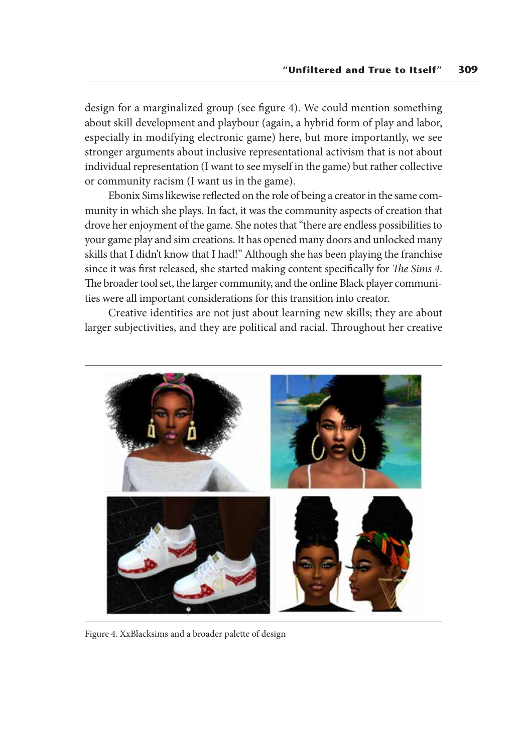design for a marginalized group (see figure 4). We could mention something about skill development and playbour (again, a hybrid form of play and labor, especially in modifying electronic game) here, but more importantly, we see stronger arguments about inclusive representational activism that is not about individual representation (I want to see myself in the game) but rather collective or community racism (I want us in the game).

Ebonix Sims likewise reflected on the role of being a creator in the same community in which she plays. In fact, it was the community aspects of creation that drove her enjoyment of the game. She notes that "there are endless possibilities to your game play and sim creations. It has opened many doors and unlocked many skills that I didn't know that I had!" Although she has been playing the franchise since it was first released, she started making content specifically for *The Sims 4*. The broader tool set, the larger community, and the online Black player communities were all important considerations for this transition into creator.

Creative identities are not just about learning new skills; they are about larger subjectivities, and they are political and racial. Throughout her creative



Figure 4. XxBlacksims and a broader palette of design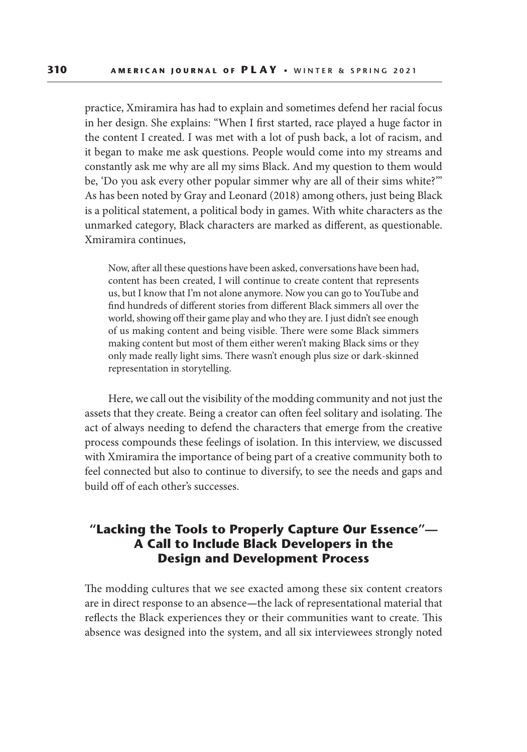practice, Xmiramira has had to explain and sometimes defend her racial focus in her design. She explains: "When I first started, race played a huge factor in the content I created. I was met with a lot of push back, a lot of racism, and it began to make me ask questions. People would come into my streams and constantly ask me why are all my sims Black. And my question to them would be, 'Do you ask every other popular simmer why are all of their sims white?'" As has been noted by Gray and Leonard (2018) among others, just being Black is a political statement, a political body in games. With white characters as the unmarked category, Black characters are marked as different, as questionable. Xmiramira continues,

Now, after all these questions have been asked, conversations have been had, content has been created, I will continue to create content that represents us, but I know that I'm not alone anymore. Now you can go to YouTube and find hundreds of different stories from different Black simmers all over the world, showing off their game play and who they are. I just didn't see enough of us making content and being visible. There were some Black simmers making content but most of them either weren't making Black sims or they only made really light sims. There wasn't enough plus size or dark-skinned representation in storytelling.

Here, we call out the visibility of the modding community and not just the assets that they create. Being a creator can often feel solitary and isolating. The act of always needing to defend the characters that emerge from the creative process compounds these feelings of isolation. In this interview, we discussed with Xmiramira the importance of being part of a creative community both to feel connected but also to continue to diversify, to see the needs and gaps and build off of each other's successes.

## **"Lacking the Tools to Properly Capture Our Essence"— A Call to Include Black Developers in the Design and Development Process**

The modding cultures that we see exacted among these six content creators are in direct response to an absence**—**the lack of representational material that reflects the Black experiences they or their communities want to create. This absence was designed into the system, and all six interviewees strongly noted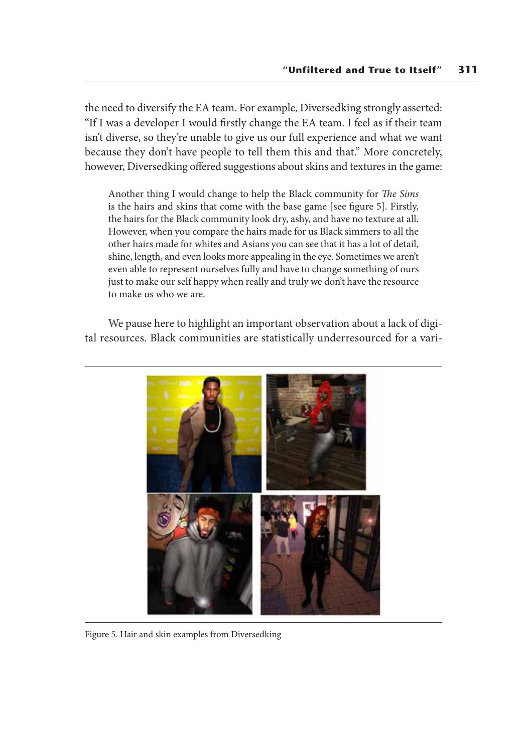the need to diversify the EA team. For example, Diversedking strongly asserted: "If I was a developer I would firstly change the EA team. I feel as if their team isn't diverse, so they're unable to give us our full experience and what we want because they don't have people to tell them this and that." More concretely, however, Diversedking offered suggestions about skins and textures in the game:

Another thing I would change to help the Black community for *The Sims* is the hairs and skins that come with the base game [see figure 5]. Firstly, the hairs for the Black community look dry, ashy, and have no texture at all. However, when you compare the hairs made for us Black simmers to all the other hairs made for whites and Asians you can see that it has a lot of detail, shine, length, and even looks more appealing in the eye. Sometimes we aren't even able to represent ourselves fully and have to change something of ours just to make our self happy when really and truly we don't have the resource to make us who we are.

We pause here to highlight an important observation about a lack of digital resources. Black communities are statistically underresourced for a vari-



Figure 5. Hair and skin examples from Diversedking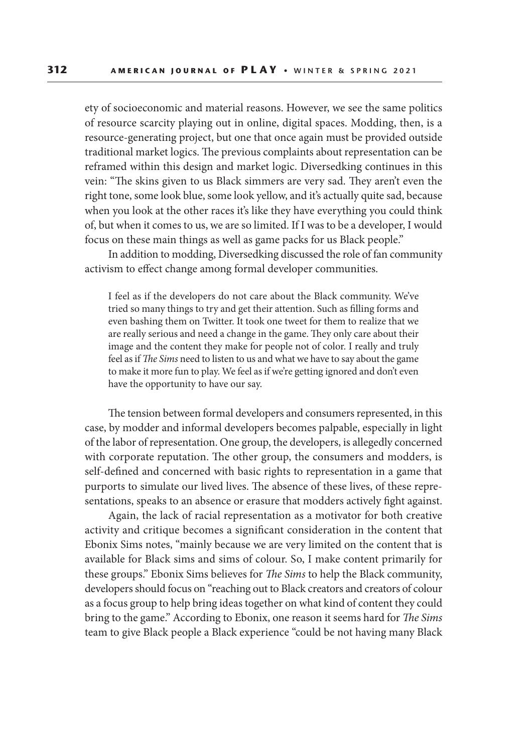ety of socioeconomic and material reasons. However, we see the same politics of resource scarcity playing out in online, digital spaces. Modding, then, is a resource-generating project, but one that once again must be provided outside traditional market logics. The previous complaints about representation can be reframed within this design and market logic. Diversedking continues in this vein: "The skins given to us Black simmers are very sad. They aren't even the right tone, some look blue, some look yellow, and it's actually quite sad, because when you look at the other races it's like they have everything you could think of, but when it comes to us, we are so limited. If I was to be a developer, I would focus on these main things as well as game packs for us Black people."

In addition to modding, Diversedking discussed the role of fan community activism to effect change among formal developer communities.

I feel as if the developers do not care about the Black community. We've tried so many things to try and get their attention. Such as filling forms and even bashing them on Twitter. It took one tweet for them to realize that we are really serious and need a change in the game. They only care about their image and the content they make for people not of color. I really and truly feel as if *The Sims* need to listen to us and what we have to say about the game to make it more fun to play. We feel as if we're getting ignored and don't even have the opportunity to have our say.

The tension between formal developers and consumers represented, in this case, by modder and informal developers becomes palpable, especially in light of the labor of representation. One group, the developers, is allegedly concerned with corporate reputation. The other group, the consumers and modders, is self-defined and concerned with basic rights to representation in a game that purports to simulate our lived lives. The absence of these lives, of these representations, speaks to an absence or erasure that modders actively fight against.

Again, the lack of racial representation as a motivator for both creative activity and critique becomes a significant consideration in the content that Ebonix Sims notes, "mainly because we are very limited on the content that is available for Black sims and sims of colour. So, I make content primarily for these groups." Ebonix Sims believes for *The Sims* to help the Black community, developers should focus on "reaching out to Black creators and creators of colour as a focus group to help bring ideas together on what kind of content they could bring to the game." According to Ebonix, one reason it seems hard for *The Sims* team to give Black people a Black experience "could be not having many Black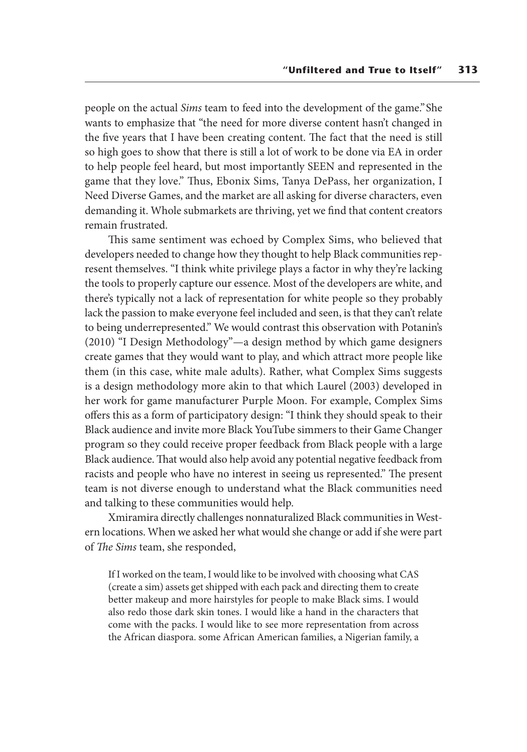people on the actual *Sims* team to feed into the development of the game." She wants to emphasize that "the need for more diverse content hasn't changed in the five years that I have been creating content. The fact that the need is still so high goes to show that there is still a lot of work to be done via EA in order to help people feel heard, but most importantly SEEN and represented in the game that they love." Thus, Ebonix Sims, Tanya DePass, her organization, I Need Diverse Games, and the market are all asking for diverse characters, even demanding it. Whole submarkets are thriving, yet we find that content creators remain frustrated.

This same sentiment was echoed by Complex Sims, who believed that developers needed to change how they thought to help Black communities represent themselves. "I think white privilege plays a factor in why they're lacking the tools to properly capture our essence. Most of the developers are white, and there's typically not a lack of representation for white people so they probably lack the passion to make everyone feel included and seen, is that they can't relate to being underrepresented." We would contrast this observation with Potanin's (2010) "I Design Methodology"—a design method by which game designers create games that they would want to play, and which attract more people like them (in this case, white male adults). Rather, what Complex Sims suggests is a design methodology more akin to that which Laurel (2003) developed in her work for game manufacturer Purple Moon. For example, Complex Sims offers this as a form of participatory design: "I think they should speak to their Black audience and invite more Black YouTube simmers to their Game Changer program so they could receive proper feedback from Black people with a large Black audience. That would also help avoid any potential negative feedback from racists and people who have no interest in seeing us represented." The present team is not diverse enough to understand what the Black communities need and talking to these communities would help.

Xmiramira directly challenges nonnaturalized Black communities in Western locations. When we asked her what would she change or add if she were part of *The Sims* team, she responded,

If I worked on the team, I would like to be involved with choosing what CAS (create a sim) assets get shipped with each pack and directing them to create better makeup and more hairstyles for people to make Black sims. I would also redo those dark skin tones. I would like a hand in the characters that come with the packs. I would like to see more representation from across the African diaspora. some African American families, a Nigerian family, a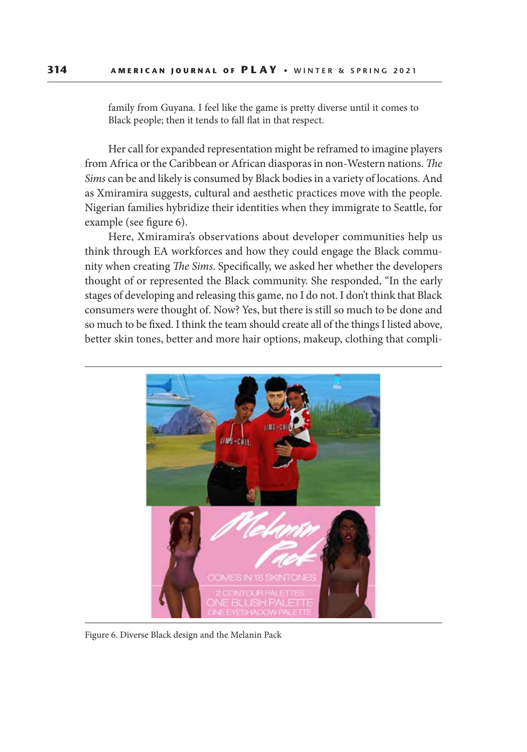family from Guyana. I feel like the game is pretty diverse until it comes to Black people; then it tends to fall flat in that respect.

Her call for expanded representation might be reframed to imagine players from Africa or the Caribbean or African diasporas in non-Western nations. *The Sims* can be and likely is consumed by Black bodies in a variety of locations. And as Xmiramira suggests, cultural and aesthetic practices move with the people. Nigerian families hybridize their identities when they immigrate to Seattle, for example (see figure 6).

Here, Xmiramira's observations about developer communities help us think through EA workforces and how they could engage the Black community when creating *The Sims*. Specifically, we asked her whether the developers thought of or represented the Black community. She responded, "In the early stages of developing and releasing this game, no I do not. I don't think that Black consumers were thought of. Now? Yes, but there is still so much to be done and so much to be fixed. I think the team should create all of the things I listed above, better skin tones, better and more hair options, makeup, clothing that compli-



Figure 6. Diverse Black design and the Melanin Pack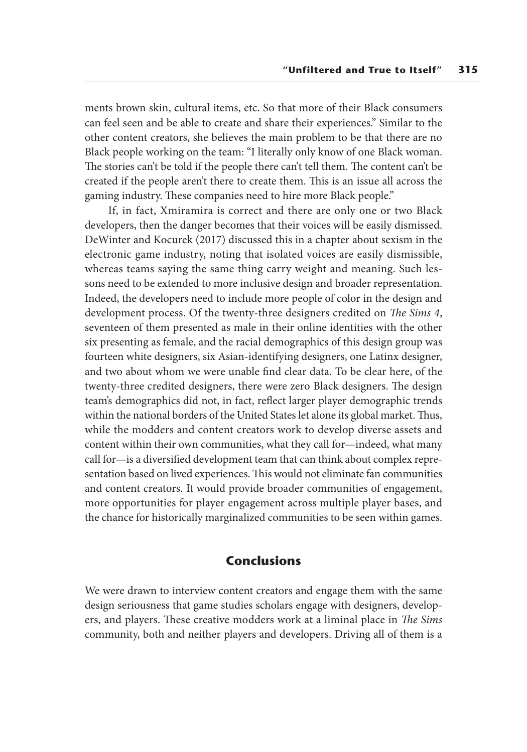ments brown skin, cultural items, etc. So that more of their Black consumers can feel seen and be able to create and share their experiences." Similar to the other content creators, she believes the main problem to be that there are no Black people working on the team: "I literally only know of one Black woman. The stories can't be told if the people there can't tell them. The content can't be created if the people aren't there to create them. This is an issue all across the gaming industry. These companies need to hire more Black people."

If, in fact, Xmiramira is correct and there are only one or two Black developers, then the danger becomes that their voices will be easily dismissed. DeWinter and Kocurek (2017) discussed this in a chapter about sexism in the electronic game industry, noting that isolated voices are easily dismissible, whereas teams saying the same thing carry weight and meaning. Such lessons need to be extended to more inclusive design and broader representation. Indeed, the developers need to include more people of color in the design and development process. Of the twenty-three designers credited on *The Sims 4*, seventeen of them presented as male in their online identities with the other six presenting as female, and the racial demographics of this design group was fourteen white designers, six Asian-identifying designers, one Latinx designer, and two about whom we were unable find clear data. To be clear here, of the twenty-three credited designers, there were zero Black designers. The design team's demographics did not, in fact, reflect larger player demographic trends within the national borders of the United States let alone its global market. Thus, while the modders and content creators work to develop diverse assets and content within their own communities, what they call for—indeed, what many call for—is a diversified development team that can think about complex representation based on lived experiences. This would not eliminate fan communities and content creators. It would provide broader communities of engagement, more opportunities for player engagement across multiple player bases, and the chance for historically marginalized communities to be seen within games.

#### **Conclusions**

We were drawn to interview content creators and engage them with the same design seriousness that game studies scholars engage with designers, developers, and players. These creative modders work at a liminal place in *The Sims* community, both and neither players and developers. Driving all of them is a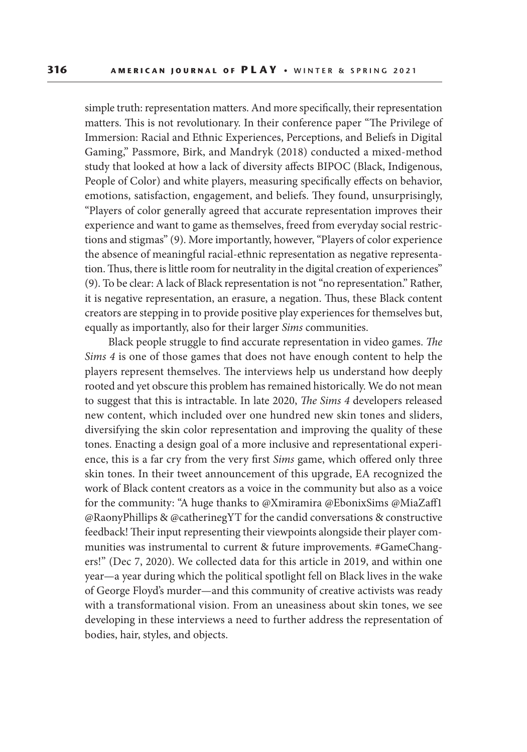simple truth: representation matters. And more specifically, their representation matters. This is not revolutionary. In their conference paper "The Privilege of Immersion: Racial and Ethnic Experiences, Perceptions, and Beliefs in Digital Gaming," Passmore, Birk, and Mandryk (2018) conducted a mixed-method study that looked at how a lack of diversity affects BIPOC (Black, Indigenous, People of Color) and white players, measuring specifically effects on behavior, emotions, satisfaction, engagement, and beliefs. They found, unsurprisingly, "Players of color generally agreed that accurate representation improves their experience and want to game as themselves, freed from everyday social restrictions and stigmas" (9). More importantly, however, "Players of color experience the absence of meaningful racial-ethnic representation as negative representation. Thus, there is little room for neutrality in the digital creation of experiences" (9). To be clear: A lack of Black representation is not "no representation." Rather, it is negative representation, an erasure, a negation. Thus, these Black content creators are stepping in to provide positive play experiences for themselves but, equally as importantly, also for their larger *Sims* communities.

Black people struggle to find accurate representation in video games. *The Sims 4* is one of those games that does not have enough content to help the players represent themselves. The interviews help us understand how deeply rooted and yet obscure this problem has remained historically. We do not mean to suggest that this is intractable. In late 2020, *The Sims 4* developers released new content, which included over one hundred new skin tones and sliders, diversifying the skin color representation and improving the quality of these tones. Enacting a design goal of a more inclusive and representational experience, this is a far cry from the very first *Sims* game, which offered only three skin tones. In their tweet announcement of this upgrade, EA recognized the work of Black content creators as a voice in the community but also as a voice for the community: "A huge thanks to @Xmiramira @EbonixSims @MiaZaff1 @RaonyPhillips & @catherinegYT for the candid conversations & constructive feedback! Their input representing their viewpoints alongside their player communities was instrumental to current & future improvements. #GameChangers!" (Dec 7, 2020). We collected data for this article in 2019, and within one year—a year during which the political spotlight fell on Black lives in the wake of George Floyd's murder—and this community of creative activists was ready with a transformational vision. From an uneasiness about skin tones, we see developing in these interviews a need to further address the representation of bodies, hair, styles, and objects.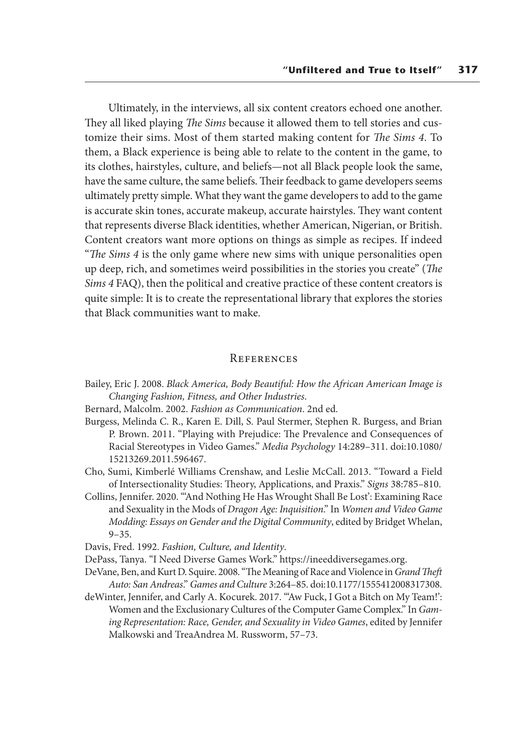Ultimately, in the interviews, all six content creators echoed one another. They all liked playing *The Sims* because it allowed them to tell stories and customize their sims. Most of them started making content for *The Sims 4*. To them, a Black experience is being able to relate to the content in the game, to its clothes, hairstyles, culture, and beliefs—not all Black people look the same, have the same culture, the same beliefs. Their feedback to game developers seems ultimately pretty simple. What they want the game developers to add to the game is accurate skin tones, accurate makeup, accurate hairstyles. They want content that represents diverse Black identities, whether American, Nigerian, or British. Content creators want more options on things as simple as recipes. If indeed "*The Sims 4* is the only game where new sims with unique personalities open up deep, rich, and sometimes weird possibilities in the stories you create" (*The Sims 4* FAQ), then the political and creative practice of these content creators is quite simple: It is to create the representational library that explores the stories that Black communities want to make.

#### **REFERENCES**

- Bailey, Eric J. 2008. *Black America, Body Beautiful: How the African American Image is Changing Fashion, Fitness, and Other Industries*.
- Bernard, Malcolm. 2002. *Fashion as Communication*. 2nd ed.
- Burgess, Melinda C. R., Karen E. Dill, S. Paul Stermer, Stephen R. Burgess, and Brian P. Brown. 2011. "Playing with Prejudice: The Prevalence and Consequences of Racial Stereotypes in Video Games." *Media Psychology* 14:289–311. doi:10.1080/ 15213269.2011.596467.
- Cho, Sumi, Kimberlé Williams Crenshaw, and Leslie McCall. 2013. "Toward a Field of Intersectionality Studies: Theory, Applications, and Praxis." *Signs* 38:785–810.
- Collins, Jennifer. 2020. "'And Nothing He Has Wrought Shall Be Lost': Examining Race and Sexuality in the Mods of *Dragon Age: Inquisition*." In *Women and Video Game Modding: Essays on Gender and the Digital Community*, edited by Bridget Whelan, 9–35.
- Davis, Fred. 1992. *Fashion, Culture, and Identity*.
- DePass, Tanya. "I Need Diverse Games Work." https://ineeddiversegames.org.
- DeVane, Ben, and Kurt D. Squire. 2008. "The Meaning of Race and Violence in *Grand Theft Auto: San Andreas*." *Games and Culture* 3:264–85. doi:10.1177/1555412008317308.
- deWinter, Jennifer, and Carly A. Kocurek. 2017. "'Aw Fuck, I Got a Bitch on My Team!': Women and the Exclusionary Cultures of the Computer Game Complex." In *Gaming Representation: Race, Gender, and Sexuality in Video Games*, edited by Jennifer Malkowski and TreaAndrea M. Russworm, 57–73.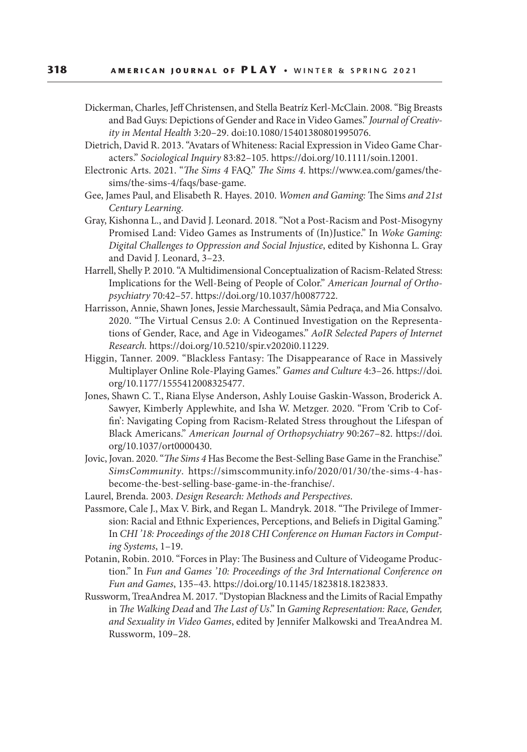- Dickerman, Charles, Jeff Christensen, and Stella Beatríz Kerl-McClain. 2008. "Big Breasts and Bad Guys: Depictions of Gender and Race in Video Games." *Journal of Creativity in Mental Health* 3:20–29. doi:10.1080/15401380801995076.
- Dietrich, David R. 2013. "Avatars of Whiteness: Racial Expression in Video Game Characters." *Sociological Inquiry* 83:82–105. https://doi.org/10.1111/soin.12001.
- Electronic Arts. 2021. "*The Sims 4* FAQ." *The Sims 4*. https://www.ea.com/games/thesims/the-sims-4/faqs/base-game.
- Gee, James Paul, and Elisabeth R. Hayes. 2010. *Women and Gaming:* The Sims *and 21st Century Learning*.
- Gray, Kishonna L., and David J. Leonard. 2018. "Not a Post-Racism and Post-Misogyny Promised Land: Video Games as Instruments of (In)Justice." In *Woke Gaming: Digital Challenges to Oppression and Social Injustice*, edited by Kishonna L. Gray and David J. Leonard, 3–23.
- Harrell, Shelly P. 2010. "A Multidimensional Conceptualization of Racism‐Related Stress: Implications for the Well‐Being of People of Color." *American Journal of Orthopsychiatry* 70:42–57. https://doi.org/10.1037/h0087722.
- Harrisson, Annie, Shawn Jones, Jessie Marchessault, Sâmia Pedraça, and Mia Consalvo. 2020. "The Virtual Census 2.0: A Continued Investigation on the Representations of Gender, Race, and Age in Videogames." *AoIR Selected Papers of Internet Research.* https://doi.org/10.5210/spir.v2020i0.11229.
- Higgin, Tanner. 2009. "Blackless Fantasy: The Disappearance of Race in Massively Multiplayer Online Role-Playing Games." *Games and Culture* 4:3–26. https://doi. org/10.1177/1555412008325477.
- Jones, Shawn C. T., Riana Elyse Anderson, Ashly Louise Gaskin-Wasson, Broderick A. Sawyer, Kimberly Applewhite, and Isha W. Metzger. 2020. "From 'Crib to Coffin': Navigating Coping from Racism-Related Stress throughout the Lifespan of Black Americans." *American Journal of Orthopsychiatry* 90:267–82. https://doi. org/10.1037/ort0000430.
- Jovic, Jovan. 2020. "*The Sims 4* Has Become the Best-Selling Base Game in the Franchise."  *SimsCommunity*. https://simscommunity.info/2020/01/30/the-sims-4-hasbecome-the-best-selling-base-game-in-the-franchise/.
- Laurel, Brenda. 2003. *Design Research: Methods and Perspectives*.
- Passmore, Cale J., Max V. Birk, and Regan L. Mandryk. 2018. "The Privilege of Immersion: Racial and Ethnic Experiences, Perceptions, and Beliefs in Digital Gaming." In *CHI '18: Proceedings of the 2018 CHI Conference on Human Factors in Computing Systems*, 1–19.
- Potanin, Robin. 2010. "Forces in Play: The Business and Culture of Videogame Production." In *Fun and Games '10: Proceedings of the 3rd International Conference on Fun and Games*, 135–43. https://doi.org/10.1145/1823818.1823833.
- Russworm, TreaAndrea M. 2017. "Dystopian Blackness and the Limits of Racial Empathy in *The Walking Dead* and *The Last of Us*." In *Gaming Representation: Race, Gender, and Sexuality in Video Games*, edited by Jennifer Malkowski and TreaAndrea M. Russworm, 109–28.